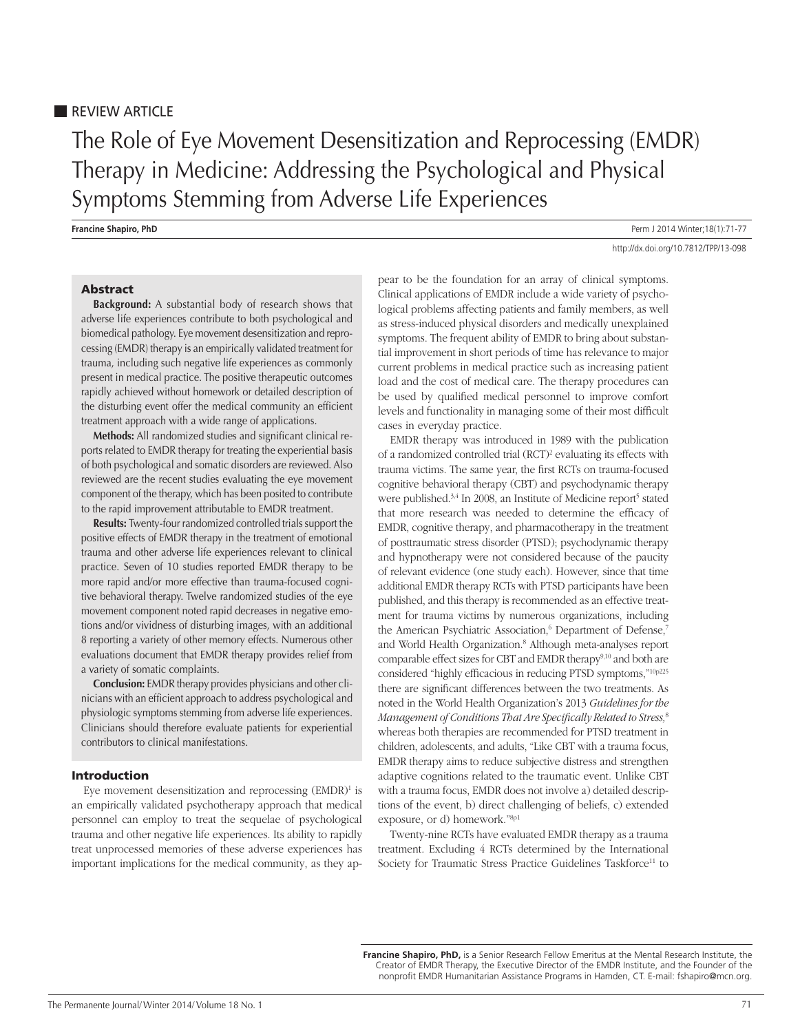# **REVIEW ARTICLE**

The Role of Eye Movement Desensitization and Reprocessing (EMDR) Therapy in Medicine: Addressing the Psychological and Physical Symptoms Stemming from Adverse Life Experiences

**Francine Shapiro, PhD** Perm J 2014 Winter;18(1):71-77

http://dx.doi.org/10.7812/TPP/13-098

# Abstract

**Background:** A substantial body of research shows that adverse life experiences contribute to both psychological and biomedical pathology. Eye movement desensitization and reprocessing (EMDR) therapy is an empirically validated treatment for trauma, including such negative life experiences as commonly present in medical practice. The positive therapeutic outcomes rapidly achieved without homework or detailed description of the disturbing event offer the medical community an efficient treatment approach with a wide range of applications.

**Methods:** All randomized studies and significant clinical reports related to EMDR therapy for treating the experiential basis of both psychological and somatic disorders are reviewed. Also reviewed are the recent studies evaluating the eye movement component of the therapy, which has been posited to contribute to the rapid improvement attributable to EMDR treatment.

**Results:** Twenty-four randomized controlled trials support the positive effects of EMDR therapy in the treatment of emotional trauma and other adverse life experiences relevant to clinical practice. Seven of 10 studies reported EMDR therapy to be more rapid and/or more effective than trauma-focused cognitive behavioral therapy. Twelve randomized studies of the eye movement component noted rapid decreases in negative emotions and/or vividness of disturbing images, with an additional 8 reporting a variety of other memory effects. Numerous other evaluations document that EMDR therapy provides relief from a variety of somatic complaints.

**Conclusion:** EMDR therapy provides physicians and other clinicians with an efficient approach to address psychological and physiologic symptoms stemming from adverse life experiences. Clinicians should therefore evaluate patients for experiential contributors to clinical manifestations.

## Introduction

Eye movement desensitization and reprocessing  $(EMDR)^1$  is an empirically validated psychotherapy approach that medical personnel can employ to treat the sequelae of psychological trauma and other negative life experiences. Its ability to rapidly treat unprocessed memories of these adverse experiences has important implications for the medical community, as they appear to be the foundation for an array of clinical symptoms. Clinical applications of EMDR include a wide variety of psychological problems affecting patients and family members, as well as stress-induced physical disorders and medically unexplained symptoms. The frequent ability of EMDR to bring about substantial improvement in short periods of time has relevance to major current problems in medical practice such as increasing patient load and the cost of medical care. The therapy procedures can be used by qualified medical personnel to improve comfort levels and functionality in managing some of their most difficult cases in everyday practice.

EMDR therapy was introduced in 1989 with the publication of a randomized controlled trial (RCT)<sup>2</sup> evaluating its effects with trauma victims. The same year, the first RCTs on trauma-focused cognitive behavioral therapy (CBT) and psychodynamic therapy were published.<sup>3,4</sup> In 2008, an Institute of Medicine report<sup>5</sup> stated that more research was needed to determine the efficacy of EMDR, cognitive therapy, and pharmacotherapy in the treatment of posttraumatic stress disorder (PTSD); psychodynamic therapy and hypnotherapy were not considered because of the paucity of relevant evidence (one study each). However, since that time additional EMDR therapy RCTs with PTSD participants have been published, and this therapy is recommended as an effective treatment for trauma victims by numerous organizations, including the American Psychiatric Association,<sup>6</sup> Department of Defense,<sup>7</sup> and World Health Organization.8 Although meta-analyses report comparable effect sizes for CBT and EMDR therapy<sup>9,10</sup> and both are considered "highly efficacious in reducing PTSD symptoms,"10p225 there are significant differences between the two treatments. As noted in the World Health Organization's 2013 *Guidelines for the Management of Conditions That Are Specifically Related to Stress,*<sup>8</sup> whereas both therapies are recommended for PTSD treatment in children, adolescents, and adults, "Like CBT with a trauma focus, EMDR therapy aims to reduce subjective distress and strengthen adaptive cognitions related to the traumatic event. Unlike CBT with a trauma focus, EMDR does not involve a) detailed descriptions of the event, b) direct challenging of beliefs, c) extended exposure, or d) homework."8p1

Twenty-nine RCTs have evaluated EMDR therapy as a trauma treatment. Excluding 4 RCTs determined by the International Society for Traumatic Stress Practice Guidelines Taskforce<sup>11</sup> to

**Francine Shapiro, PhD,** is a Senior Research Fellow Emeritus at the Mental Research Institute, the Creator of EMDR Therapy, the Executive Director of the EMDR Institute, and the Founder of the nonprofit EMDR Humanitarian Assistance Programs in Hamden, CT. E-mail: fshapiro@mcn.org.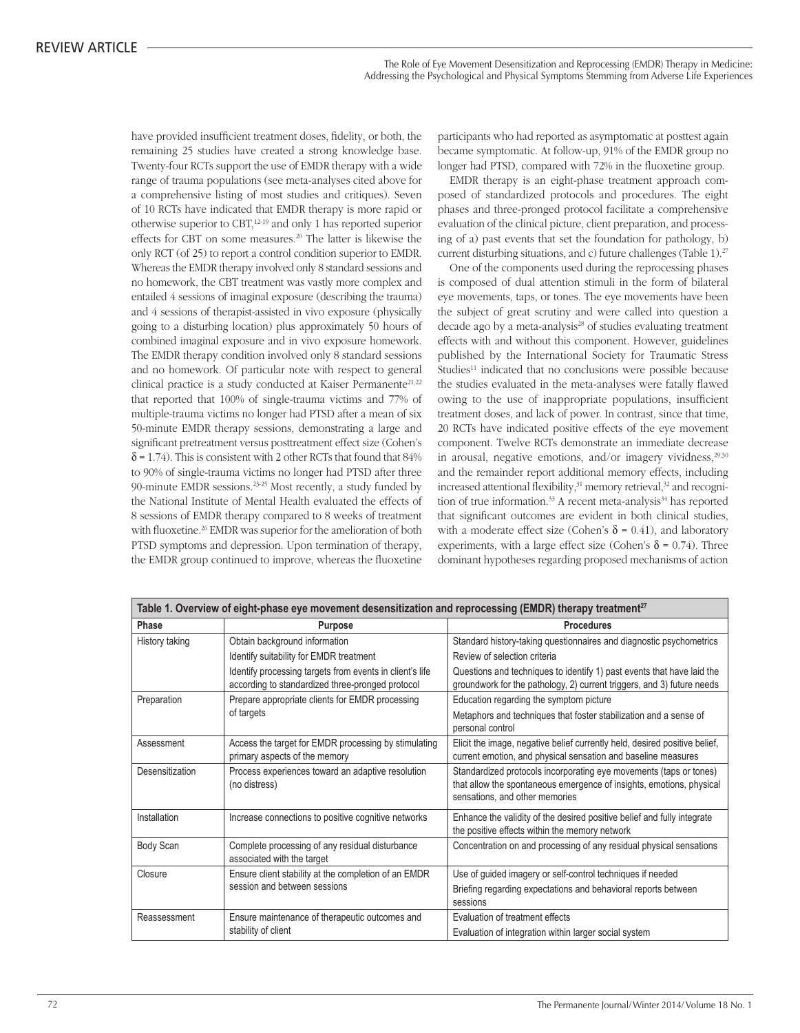have provided insufficient treatment doses, fidelity, or both, the remaining 25 studies have created a strong knowledge base. Twenty-four RCTs support the use of EMDR therapy with a wide range of trauma populations (see meta-analyses cited above for a comprehensive listing of most studies and critiques). Seven of 10 RCTs have indicated that EMDR therapy is more rapid or otherwise superior to CBT,12-19 and only 1 has reported superior effects for CBT on some measures.20 The latter is likewise the only RCT (of 25) to report a control condition superior to EMDR. Whereas the EMDR therapy involved only 8 standard sessions and no homework, the CBT treatment was vastly more complex and entailed 4 sessions of imaginal exposure (describing the trauma) and 4 sessions of therapist-assisted in vivo exposure (physically going to a disturbing location) plus approximately 50 hours of combined imaginal exposure and in vivo exposure homework. The EMDR therapy condition involved only 8 standard sessions and no homework. Of particular note with respect to general clinical practice is a study conducted at Kaiser Permanente<sup>21,22</sup> that reported that 100% of single-trauma victims and 77% of multiple-trauma victims no longer had PTSD after a mean of six 50-minute EMDR therapy sessions, demonstrating a large and significant pretreatment versus posttreatment effect size (Cohen's  $\delta$  = 1.74). This is consistent with 2 other RCTs that found that 84% to 90% of single-trauma victims no longer had PTSD after three 90-minute EMDR sessions.23-25 Most recently, a study funded by the National Institute of Mental Health evaluated the effects of 8 sessions of EMDR therapy compared to 8 weeks of treatment with fluoxetine.<sup>26</sup> EMDR was superior for the amelioration of both PTSD symptoms and depression. Upon termination of therapy, the EMDR group continued to improve, whereas the fluoxetine

participants who had reported as asymptomatic at posttest again became symptomatic. At follow-up, 91% of the EMDR group no longer had PTSD, compared with 72% in the fluoxetine group.

EMDR therapy is an eight-phase treatment approach composed of standardized protocols and procedures. The eight phases and three-pronged protocol facilitate a comprehensive evaluation of the clinical picture, client preparation, and processing of a) past events that set the foundation for pathology, b) current disturbing situations, and c) future challenges (Table 1).<sup>27</sup>

One of the components used during the reprocessing phases is composed of dual attention stimuli in the form of bilateral eye movements, taps, or tones. The eye movements have been the subject of great scrutiny and were called into question a decade ago by a meta-analysis<sup>28</sup> of studies evaluating treatment effects with and without this component. However, guidelines published by the International Society for Traumatic Stress Studies<sup>11</sup> indicated that no conclusions were possible because the studies evaluated in the meta-analyses were fatally flawed owing to the use of inappropriate populations, insufficient treatment doses, and lack of power. In contrast, since that time, 20 RCTs have indicated positive effects of the eye movement component. Twelve RCTs demonstrate an immediate decrease in arousal, negative emotions, and/or imagery vividness, $29,30$ and the remainder report additional memory effects, including increased attentional flexibility,<sup>31</sup> memory retrieval,<sup>32</sup> and recognition of true information.<sup>33</sup> A recent meta-analysis<sup>34</sup> has reported that significant outcomes are evident in both clinical studies, with a moderate effect size (Cohen's  $\delta$  = 0.41), and laboratory experiments, with a large effect size (Cohen's  $\delta$  = 0.74). Three dominant hypotheses regarding proposed mechanisms of action

| Table 1. Overview of eight-phase eye movement desensitization and reprocessing (EMDR) therapy treatment <sup>27</sup> |                                                                                                              |                                                                                                                                                                              |
|-----------------------------------------------------------------------------------------------------------------------|--------------------------------------------------------------------------------------------------------------|------------------------------------------------------------------------------------------------------------------------------------------------------------------------------|
| Phase                                                                                                                 | Purpose                                                                                                      | <b>Procedures</b>                                                                                                                                                            |
| History taking                                                                                                        | Obtain background information                                                                                | Standard history-taking questionnaires and diagnostic psychometrics                                                                                                          |
|                                                                                                                       | Identify suitability for EMDR treatment                                                                      | Review of selection criteria                                                                                                                                                 |
|                                                                                                                       | Identify processing targets from events in client's life<br>according to standardized three-pronged protocol | Questions and techniques to identify 1) past events that have laid the<br>groundwork for the pathology, 2) current triggers, and 3) future needs                             |
| Preparation                                                                                                           | Prepare appropriate clients for EMDR processing<br>of targets                                                | Education regarding the symptom picture                                                                                                                                      |
|                                                                                                                       |                                                                                                              | Metaphors and techniques that foster stabilization and a sense of<br>personal control                                                                                        |
| Assessment                                                                                                            | Access the target for EMDR processing by stimulating<br>primary aspects of the memory                        | Elicit the image, negative belief currently held, desired positive belief,<br>current emotion, and physical sensation and baseline measures                                  |
| Desensitization                                                                                                       | Process experiences toward an adaptive resolution<br>(no distress)                                           | Standardized protocols incorporating eye movements (taps or tones)<br>that allow the spontaneous emergence of insights, emotions, physical<br>sensations, and other memories |
| Installation                                                                                                          | Increase connections to positive cognitive networks                                                          | Enhance the validity of the desired positive belief and fully integrate<br>the positive effects within the memory network                                                    |
| Body Scan                                                                                                             | Complete processing of any residual disturbance<br>associated with the target                                | Concentration on and processing of any residual physical sensations                                                                                                          |
| Closure                                                                                                               | Ensure client stability at the completion of an EMDR<br>session and between sessions                         | Use of guided imagery or self-control techniques if needed                                                                                                                   |
|                                                                                                                       |                                                                                                              | Briefing regarding expectations and behavioral reports between<br>sessions                                                                                                   |
| Reassessment                                                                                                          | Ensure maintenance of therapeutic outcomes and<br>stability of client                                        | Evaluation of treatment effects                                                                                                                                              |
|                                                                                                                       |                                                                                                              | Evaluation of integration within larger social system                                                                                                                        |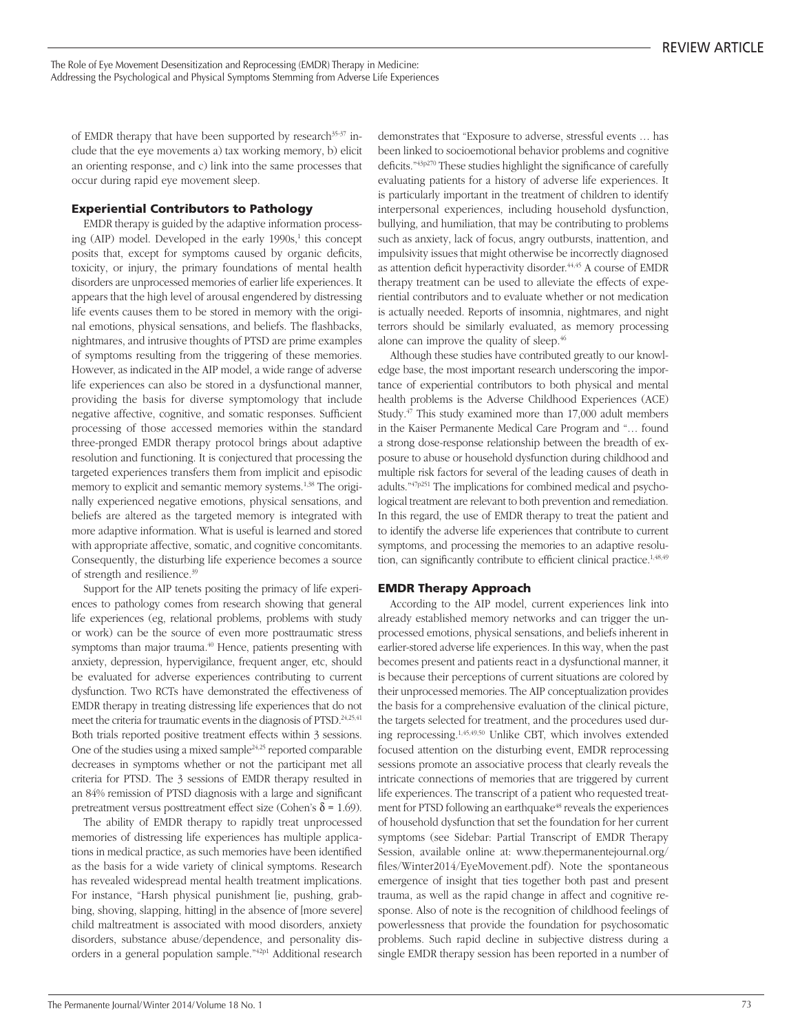The Role of Eye Movement Desensitization and Reprocessing (EMDR) Therapy in Medicine: Addressing the Psychological and Physical Symptoms Stemming from Adverse Life Experiences

of EMDR therapy that have been supported by research<sup>35-37</sup> include that the eye movements a) tax working memory, b) elicit an orienting response, and c) link into the same processes that occur during rapid eye movement sleep.

### Experiential Contributors to Pathology

EMDR therapy is guided by the adaptive information processing (AIP) model. Developed in the early  $1990s$ ,<sup>1</sup> this concept posits that, except for symptoms caused by organic deficits, toxicity, or injury, the primary foundations of mental health disorders are unprocessed memories of earlier life experiences. It appears that the high level of arousal engendered by distressing life events causes them to be stored in memory with the original emotions, physical sensations, and beliefs. The flashbacks, nightmares, and intrusive thoughts of PTSD are prime examples of symptoms resulting from the triggering of these memories. However, as indicated in the AIP model, a wide range of adverse life experiences can also be stored in a dysfunctional manner, providing the basis for diverse symptomology that include negative affective, cognitive, and somatic responses. Sufficient processing of those accessed memories within the standard three-pronged EMDR therapy protocol brings about adaptive resolution and functioning. It is conjectured that processing the targeted experiences transfers them from implicit and episodic memory to explicit and semantic memory systems.1,38 The originally experienced negative emotions, physical sensations, and beliefs are altered as the targeted memory is integrated with more adaptive information. What is useful is learned and stored with appropriate affective, somatic, and cognitive concomitants. Consequently, the disturbing life experience becomes a source of strength and resilience.39

Support for the AIP tenets positing the primacy of life experiences to pathology comes from research showing that general life experiences (eg, relational problems, problems with study or work) can be the source of even more posttraumatic stress symptoms than major trauma.<sup>40</sup> Hence, patients presenting with anxiety, depression, hypervigilance, frequent anger, etc, should be evaluated for adverse experiences contributing to current dysfunction. Two RCTs have demonstrated the effectiveness of EMDR therapy in treating distressing life experiences that do not meet the criteria for traumatic events in the diagnosis of PTSD.<sup>24,25,41</sup> Both trials reported positive treatment effects within 3 sessions. One of the studies using a mixed sample<sup> $24,25$ </sup> reported comparable decreases in symptoms whether or not the participant met all criteria for PTSD. The 3 sessions of EMDR therapy resulted in an 84% remission of PTSD diagnosis with a large and significant pretreatment versus posttreatment effect size (Cohen's  $\delta$  = 1.69).

The ability of EMDR therapy to rapidly treat unprocessed memories of distressing life experiences has multiple applications in medical practice, as such memories have been identified as the basis for a wide variety of clinical symptoms. Research has revealed widespread mental health treatment implications. For instance, "Harsh physical punishment lie, pushing, grabbing, shoving, slapping, hitting] in the absence of [more severe] child maltreatment is associated with mood disorders, anxiety disorders, substance abuse/dependence, and personality disorders in a general population sample."42p1 Additional research

demonstrates that "Exposure to adverse, stressful events … has been linked to socioemotional behavior problems and cognitive deficits."43p270 These studies highlight the significance of carefully evaluating patients for a history of adverse life experiences. It is particularly important in the treatment of children to identify interpersonal experiences, including household dysfunction, bullying, and humiliation, that may be contributing to problems such as anxiety, lack of focus, angry outbursts, inattention, and impulsivity issues that might otherwise be incorrectly diagnosed as attention deficit hyperactivity disorder.<sup>44,45</sup> A course of EMDR therapy treatment can be used to alleviate the effects of experiential contributors and to evaluate whether or not medication is actually needed. Reports of insomnia, nightmares, and night terrors should be similarly evaluated, as memory processing alone can improve the quality of sleep.<sup>46</sup>

Although these studies have contributed greatly to our knowledge base, the most important research underscoring the importance of experiential contributors to both physical and mental health problems is the Adverse Childhood Experiences (ACE) Study.47 This study examined more than 17,000 adult members in the Kaiser Permanente Medical Care Program and "… found a strong dose-response relationship between the breadth of exposure to abuse or household dysfunction during childhood and multiple risk factors for several of the leading causes of death in adults."47p251 The implications for combined medical and psychological treatment are relevant to both prevention and remediation. In this regard, the use of EMDR therapy to treat the patient and to identify the adverse life experiences that contribute to current symptoms, and processing the memories to an adaptive resolution, can significantly contribute to efficient clinical practice.<sup>1,48,49</sup>

### EMDR Therapy Approach

According to the AIP model, current experiences link into already established memory networks and can trigger the unprocessed emotions, physical sensations, and beliefs inherent in earlier-stored adverse life experiences. In this way, when the past becomes present and patients react in a dysfunctional manner, it is because their perceptions of current situations are colored by their unprocessed memories. The AIP conceptualization provides the basis for a comprehensive evaluation of the clinical picture, the targets selected for treatment, and the procedures used during reprocessing.1,45,49,50 Unlike CBT, which involves extended focused attention on the disturbing event, EMDR reprocessing sessions promote an associative process that clearly reveals the intricate connections of memories that are triggered by current life experiences. The transcript of a patient who requested treatment for PTSD following an earthquake<sup>48</sup> reveals the experiences of household dysfunction that set the foundation for her current symptoms (see Sidebar: Partial Transcript of EMDR Therapy Session, available online at: [www.thepermanentejournal.org/](www.thepermanentejournal.org/files/Winter2014/EyeMovement.pdf) [files/Winter2014/EyeMovement.pdf](www.thepermanentejournal.org/files/Winter2014/EyeMovement.pdf)). Note the spontaneous emergence of insight that ties together both past and present trauma, as well as the rapid change in affect and cognitive response. Also of note is the recognition of childhood feelings of powerlessness that provide the foundation for psychosomatic problems. Such rapid decline in subjective distress during a single EMDR therapy session has been reported in a number of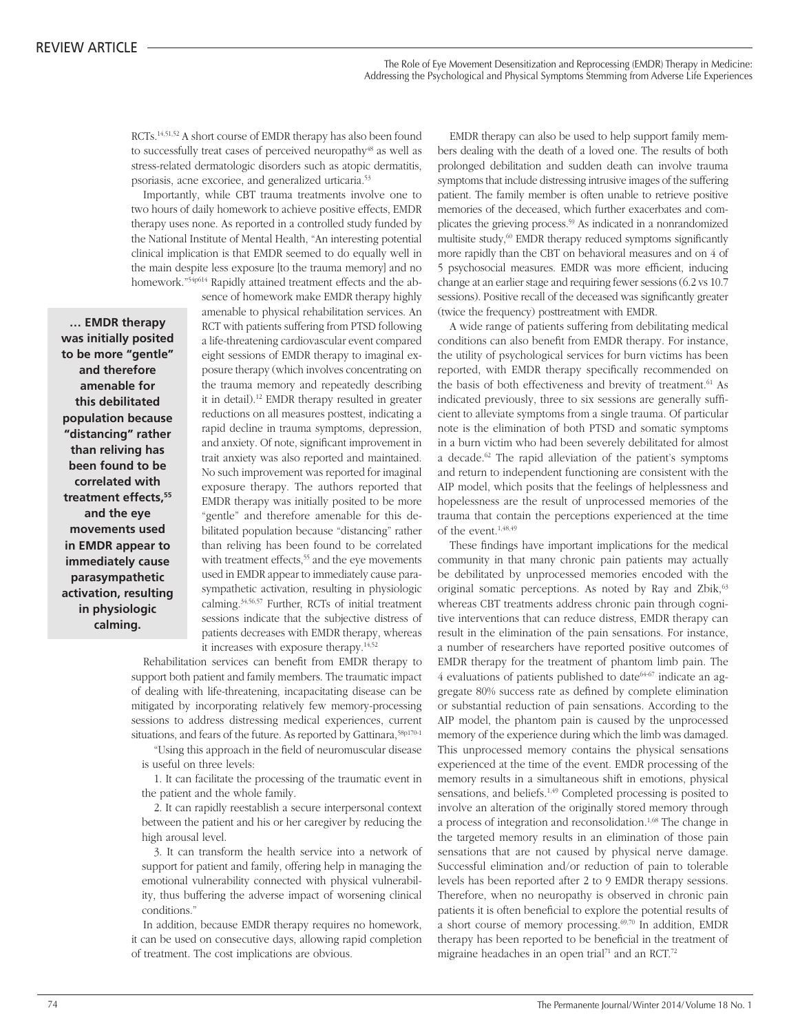RCTs.14,51,52 A short course of EMDR therapy has also been found to successfully treat cases of perceived neuropathy<sup>48</sup> as well as stress-related dermatologic disorders such as atopic dermatitis, psoriasis, acne excoriee, and generalized urticaria.53

Importantly, while CBT trauma treatments involve one to two hours of daily homework to achieve positive effects, EMDR therapy uses none. As reported in a controlled study funded by the National Institute of Mental Health, "An interesting potential clinical implication is that EMDR seemed to do equally well in the main despite less exposure [to the trauma memory] and no homework."54p614 Rapidly attained treatment effects and the ab-

**… EMDR therapy was initially posited to be more "gentle" and therefore amenable for this debilitated population because "distancing" rather than reliving has been found to be correlated with treatment effects,55 and the eye movements used in EMDR appear to immediately cause parasympathetic activation, resulting in physiologic calming.**

sence of homework make EMDR therapy highly amenable to physical rehabilitation services. An RCT with patients suffering from PTSD following a life-threatening cardiovascular event compared eight sessions of EMDR therapy to imaginal exposure therapy (which involves concentrating on the trauma memory and repeatedly describing it in detail).12 EMDR therapy resulted in greater reductions on all measures posttest, indicating a rapid decline in trauma symptoms, depression, and anxiety. Of note, significant improvement in trait anxiety was also reported and maintained. No such improvement was reported for imaginal exposure therapy. The authors reported that EMDR therapy was initially posited to be more "gentle" and therefore amenable for this debilitated population because "distancing" rather than reliving has been found to be correlated with treatment effects,<sup>55</sup> and the eye movements used in EMDR appear to immediately cause parasympathetic activation, resulting in physiologic calming.34,56,57 Further, RCTs of initial treatment sessions indicate that the subjective distress of patients decreases with EMDR therapy, whereas it increases with exposure therapy.14,52

Rehabilitation services can benefit from EMDR therapy to support both patient and family members. The traumatic impact of dealing with life-threatening, incapacitating disease can be mitigated by incorporating relatively few memory-processing sessions to address distressing medical experiences, current situations, and fears of the future. As reported by Gattinara,<sup>58p170-1</sup>

"Using this approach in the field of neuromuscular disease is useful on three levels:

1. It can facilitate the processing of the traumatic event in the patient and the whole family.

2. It can rapidly reestablish a secure interpersonal context between the patient and his or her caregiver by reducing the high arousal level.

3. It can transform the health service into a network of support for patient and family, offering help in managing the emotional vulnerability connected with physical vulnerability, thus buffering the adverse impact of worsening clinical conditions."

In addition, because EMDR therapy requires no homework, it can be used on consecutive days, allowing rapid completion of treatment. The cost implications are obvious.

EMDR therapy can also be used to help support family members dealing with the death of a loved one. The results of both prolonged debilitation and sudden death can involve trauma symptoms that include distressing intrusive images of the suffering patient. The family member is often unable to retrieve positive memories of the deceased, which further exacerbates and complicates the grieving process.59 As indicated in a nonrandomized multisite study,<sup>60</sup> EMDR therapy reduced symptoms significantly more rapidly than the CBT on behavioral measures and on 4 of 5 psychosocial measures. EMDR was more efficient, inducing change at an earlier stage and requiring fewer sessions (6.2 vs 10.7 sessions). Positive recall of the deceased was significantly greater (twice the frequency) posttreatment with EMDR.

A wide range of patients suffering from debilitating medical conditions can also benefit from EMDR therapy. For instance, the utility of psychological services for burn victims has been reported, with EMDR therapy specifically recommended on the basis of both effectiveness and brevity of treatment.<sup>61</sup> As indicated previously, three to six sessions are generally sufficient to alleviate symptoms from a single trauma. Of particular note is the elimination of both PTSD and somatic symptoms in a burn victim who had been severely debilitated for almost a decade. $62$  The rapid alleviation of the patient's symptoms and return to independent functioning are consistent with the AIP model, which posits that the feelings of helplessness and hopelessness are the result of unprocessed memories of the trauma that contain the perceptions experienced at the time of the event.1,48,49

These findings have important implications for the medical community in that many chronic pain patients may actually be debilitated by unprocessed memories encoded with the original somatic perceptions. As noted by Ray and Zbik,<sup>63</sup> whereas CBT treatments address chronic pain through cognitive interventions that can reduce distress, EMDR therapy can result in the elimination of the pain sensations. For instance, a number of researchers have reported positive outcomes of EMDR therapy for the treatment of phantom limb pain. The  $4$  evaluations of patients published to date<sup>64-67</sup> indicate an aggregate 80% success rate as defined by complete elimination or substantial reduction of pain sensations. According to the AIP model, the phantom pain is caused by the unprocessed memory of the experience during which the limb was damaged. This unprocessed memory contains the physical sensations experienced at the time of the event. EMDR processing of the memory results in a simultaneous shift in emotions, physical sensations, and beliefs.<sup>1,49</sup> Completed processing is posited to involve an alteration of the originally stored memory through a process of integration and reconsolidation.<sup>1,68</sup> The change in the targeted memory results in an elimination of those pain sensations that are not caused by physical nerve damage. Successful elimination and/or reduction of pain to tolerable levels has been reported after 2 to 9 EMDR therapy sessions. Therefore, when no neuropathy is observed in chronic pain patients it is often beneficial to explore the potential results of a short course of memory processing.69,70 In addition, EMDR therapy has been reported to be beneficial in the treatment of migraine headaches in an open trial<sup>71</sup> and an RCT.<sup>72</sup>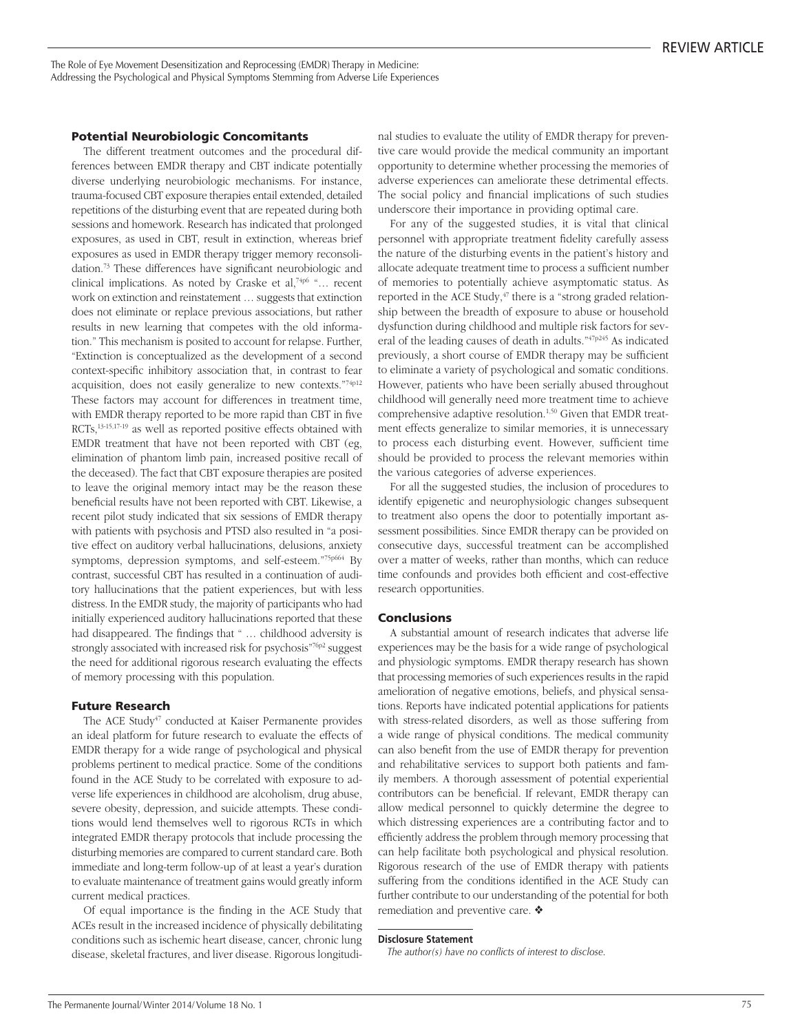The Role of Eye Movement Desensitization and Reprocessing (EMDR) Therapy in Medicine: Addressing the Psychological and Physical Symptoms Stemming from Adverse Life Experiences

### Potential Neurobiologic Concomitants

The different treatment outcomes and the procedural differences between EMDR therapy and CBT indicate potentially diverse underlying neurobiologic mechanisms. For instance, trauma-focused CBT exposure therapies entail extended, detailed repetitions of the disturbing event that are repeated during both sessions and homework. Research has indicated that prolonged exposures, as used in CBT, result in extinction, whereas brief exposures as used in EMDR therapy trigger memory reconsolidation.73 These differences have significant neurobiologic and clinical implications. As noted by Craske et al,<sup>74p6</sup> "... recent work on extinction and reinstatement … suggests that extinction does not eliminate or replace previous associations, but rather results in new learning that competes with the old information." This mechanism is posited to account for relapse. Further, "Extinction is conceptualized as the development of a second context-specific inhibitory association that, in contrast to fear acquisition, does not easily generalize to new contexts."74p12 These factors may account for differences in treatment time, with EMDR therapy reported to be more rapid than CBT in five RCTs,13-15,17-19 as well as reported positive effects obtained with EMDR treatment that have not been reported with CBT (eg, elimination of phantom limb pain, increased positive recall of the deceased). The fact that CBT exposure therapies are posited to leave the original memory intact may be the reason these beneficial results have not been reported with CBT. Likewise, a recent pilot study indicated that six sessions of EMDR therapy with patients with psychosis and PTSD also resulted in "a positive effect on auditory verbal hallucinations, delusions, anxiety symptoms, depression symptoms, and self-esteem."75p664 By contrast, successful CBT has resulted in a continuation of auditory hallucinations that the patient experiences, but with less distress. In the EMDR study, the majority of participants who had initially experienced auditory hallucinations reported that these had disappeared. The findings that " … childhood adversity is strongly associated with increased risk for psychosis<sup>"76p2</sup> suggest the need for additional rigorous research evaluating the effects of memory processing with this population.

### Future Research

The ACE Study<sup>47</sup> conducted at Kaiser Permanente provides an ideal platform for future research to evaluate the effects of EMDR therapy for a wide range of psychological and physical problems pertinent to medical practice. Some of the conditions found in the ACE Study to be correlated with exposure to adverse life experiences in childhood are alcoholism, drug abuse, severe obesity, depression, and suicide attempts. These conditions would lend themselves well to rigorous RCTs in which integrated EMDR therapy protocols that include processing the disturbing memories are compared to current standard care. Both immediate and long-term follow-up of at least a year's duration to evaluate maintenance of treatment gains would greatly inform current medical practices.

Of equal importance is the finding in the ACE Study that ACEs result in the increased incidence of physically debilitating conditions such as ischemic heart disease, cancer, chronic lung disease, skeletal fractures, and liver disease. Rigorous longitudi-

nal studies to evaluate the utility of EMDR therapy for preventive care would provide the medical community an important opportunity to determine whether processing the memories of adverse experiences can ameliorate these detrimental effects. The social policy and financial implications of such studies underscore their importance in providing optimal care.

For any of the suggested studies, it is vital that clinical personnel with appropriate treatment fidelity carefully assess the nature of the disturbing events in the patient's history and allocate adequate treatment time to process a sufficient number of memories to potentially achieve asymptomatic status. As reported in the ACE Study,<sup>47</sup> there is a "strong graded relationship between the breadth of exposure to abuse or household dysfunction during childhood and multiple risk factors for several of the leading causes of death in adults."47p245 As indicated previously, a short course of EMDR therapy may be sufficient to eliminate a variety of psychological and somatic conditions. However, patients who have been serially abused throughout childhood will generally need more treatment time to achieve comprehensive adaptive resolution.<sup>1,50</sup> Given that EMDR treatment effects generalize to similar memories, it is unnecessary to process each disturbing event. However, sufficient time should be provided to process the relevant memories within the various categories of adverse experiences.

For all the suggested studies, the inclusion of procedures to identify epigenetic and neurophysiologic changes subsequent to treatment also opens the door to potentially important assessment possibilities. Since EMDR therapy can be provided on consecutive days, successful treatment can be accomplished over a matter of weeks, rather than months, which can reduce time confounds and provides both efficient and cost-effective research opportunities.

## Conclusions

A substantial amount of research indicates that adverse life experiences may be the basis for a wide range of psychological and physiologic symptoms. EMDR therapy research has shown that processing memories of such experiences results in the rapid amelioration of negative emotions, beliefs, and physical sensations. Reports have indicated potential applications for patients with stress-related disorders, as well as those suffering from a wide range of physical conditions. The medical community can also benefit from the use of EMDR therapy for prevention and rehabilitative services to support both patients and family members. A thorough assessment of potential experiential contributors can be beneficial. If relevant, EMDR therapy can allow medical personnel to quickly determine the degree to which distressing experiences are a contributing factor and to efficiently address the problem through memory processing that can help facilitate both psychological and physical resolution. Rigorous research of the use of EMDR therapy with patients suffering from the conditions identified in the ACE Study can further contribute to our understanding of the potential for both remediation and preventive care.  $\clubsuit$ 

#### **Disclosure Statement**

*The author(s) have no conflicts of interest to disclose.*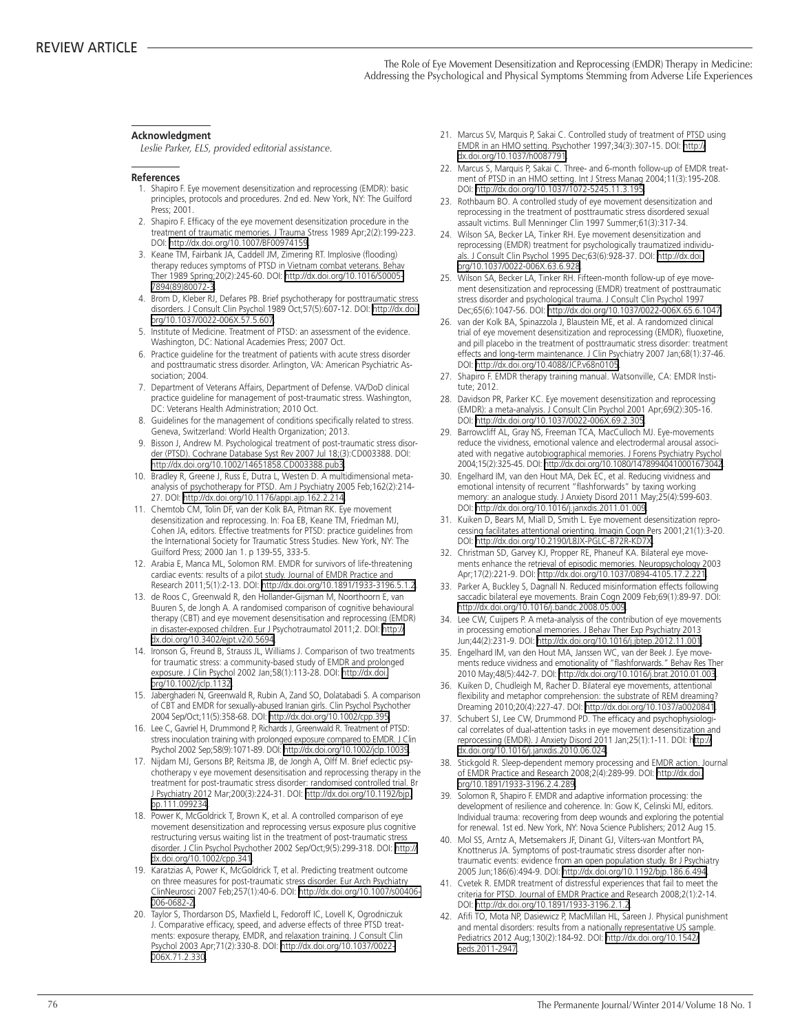#### **Acknowledgment**

*Leslie Parker, ELS, provided editorial assistance.*

#### **References**

- 1. Shapiro F. Eye movement desensitization and reprocessing (EMDR): basic principles, protocols and procedures. 2nd ed. New York, NY: The Guilford Press; 2001.
- 2. Shapiro F. Efficacy of the eye movement desensitization procedure in the treatment of traumatic memories. J Trauma Stress 1989 Apr;2(2):199-223. DOI: <http://dx.doi.org/10.1007/BF00974159>.
- 3. Keane TM, Fairbank JA, Caddell JM, Zimering RT. Implosive (flooding) therapy reduces symptoms of PTSD in Vietnam combat veterans. Behav Ther 1989 Spring;20(2):245-60. DOI: [http://dx.doi.org/10.1016/S0005-](http://dx.doi.org/10.1016/S0005-7894(89)80072-3) [7894\(89\)80072-3.](http://dx.doi.org/10.1016/S0005-7894(89)80072-3)
- 4. Brom D, Kleber RJ, Defares PB. Brief psychotherapy for posttraumatic stress disorders. J Consult Clin Psychol 1989 Oct;57(5):607-12. DOI: [http://dx.doi.](http://dx.doi.org/10.1037/0022-006X.57.5.607) [org/10.1037/0022-006X.57.5.607](http://dx.doi.org/10.1037/0022-006X.57.5.607).
- 5. Institute of Medicine. Treatment of PTSD: an assessment of the evidence. Washington, DC: National Academies Press; 2007 Oct.
- 6. Practice guideline for the treatment of patients with acute stress disorder and posttraumatic stress disorder. Arlington, VA: American Psychiatric Association; 2004.
- 7. Department of Veterans Affairs, Department of Defense. VA/DoD clinical practice guideline for management of post-traumatic stress. Washington, DC: Veterans Health Administration; 2010 Oct.
- 8. Guidelines for the management of conditions specifically related to stress. Geneva, Switzerland: World Health Organization; 2013.
- 9. Bisson J, Andrew M. Psychological treatment of post-traumatic stress disorder (PTSD). Cochrane Database Syst Rev 2007 Jul 18;(3):CD003388. DOI: [http://dx.doi.org/10.1002/14651858.CD003388.pub3.](http://dx.doi.org/10.1002/14651858.CD003388.pub3)
- 10. Bradley R, Greene J, Russ E, Dutra L, Westen D. A multidimensional metaanalysis of psychotherapy for PTSD. Am J Psychiatry 2005 Feb;162(2):214- 27. DOI:<http://dx.doi.org/10.1176/appi.ajp.162.2.214>.
- 11. Chemtob CM, Tolin DF, van der Kolk BA, Pitman RK. Eye movement desensitization and reprocessing. In: Foa EB, Keane TM, Friedman MJ, Cohen JA, editors. Effective treatments for PTSD: practice guidelines from the International Society for Traumatic Stress Studies. New York, NY: The Guilford Press; 2000 Jan 1. p 139-55, 333-5.
- 12. Arabia E, Manca ML, Solomon RM. EMDR for survivors of life-threatening cardiac events: results of a pilot study. Journal of EMDR Practice and Research 2011;5(1):2-13. DOI:<http://dx.doi.org/10.1891/1933-3196.5.1.2>.
- 13. de Roos C, Greenwald R, den Hollander-Gijsman M, Noorthoorn E, van Buuren S, de Jongh A. A randomised comparison of cognitive behavioural therapy (CBT) and eye movement desensitisation and reprocessing (EMDR) in disaster-exposed children. Eur J Psychotraumatol 2011;2. DOI: [http://](http://dx.doi.org/10.3402/ejpt.v2i0.5694) [dx.doi.org/10.3402/ejpt.v2i0.5694](http://dx.doi.org/10.3402/ejpt.v2i0.5694).
- 14. Ironson G, Freund B, Strauss JL, Williams J. Comparison of two treatments for traumatic stress: a community-based study of EMDR and prolonged exposure. J Clin Psychol 2002 Jan;58(1):113-28. DOI: [http://dx.doi.](http://dx.doi.org/10.1002/jclp.1132) [org/10.1002/jclp.1132](http://dx.doi.org/10.1002/jclp.1132).
- 15. Jaberghaderi N, Greenwald R, Rubin A, Zand SO, Dolatabadi S. A comparison of CBT and EMDR for sexually-abused Iranian girls. Clin Psychol Psychother 2004 Sep/Oct;11(5):358-68. DOI:<http://dx.doi.org/10.1002/cpp.395>.
- 16. Lee C, Gavriel H, Drummond P, Richards J, Greenwald R. Treatment of PTSD: stress inoculation training with prolonged exposure compared to EMDR. J Clin Psychol 2002 Sep;58(9):1071-89. DOI: [http://dx.doi.org/10.1002/jclp.10039.](http://dx.doi.org/10.1002/jclp.10039)
- 17. Nijdam MJ, Gersons BP, Reitsma JB, de Jongh A, Olff M. Brief eclectic psychotherapy v eye movement desensitisation and reprocessing therapy in the treatment for post-traumatic stress disorder: randomised controlled trial. Br J Psychiatry 2012 Mar;200(3):224-31. DOI: [http://dx.doi.org/10.1192/bjp.](http://dx.doi.org/10.1192/bjp.bp.111.099234) [bp.111.099234](http://dx.doi.org/10.1192/bjp.bp.111.099234).
- 18. Power K, McGoldrick T, Brown K, et al. A controlled comparison of eye movement desensitization and reprocessing versus exposure plus cognitive restructuring versus waiting list in the treatment of post-traumatic stress disorder. J Clin Psychol Psychother 2002 Sep/Oct;9(5):299-318. DOI: [http://](http://dx.doi.org/10.1002/cpp.341) [dx.doi.org/10.1002/cpp.341.](http://dx.doi.org/10.1002/cpp.341)
- 19. Karatzias A, Power K, McGoldrick T, et al. Predicting treatment outcome on three measures for post-traumatic stress disorder. Eur Arch Psychiatry ClinNeurosci 2007 Feb;257(1):40-6. DOI: [http://dx.doi.org/10.1007/s00406-](http://dx.doi.org/10.1007/s00406-006-0682-2) [006-0682-2](http://dx.doi.org/10.1007/s00406-006-0682-2).
- 20. Taylor S, Thordarson DS, Maxfield L, Fedoroff IC, Lovell K, Ogrodniczuk J. Comparative efficacy, speed, and adverse effects of three PTSD treatments: exposure therapy, EMDR, and relaxation training. J Consult Clin Psychol 2003 Apr;71(2):330-8. DOI: [http://dx.doi.org/10.1037/0022-](http://dx.doi.org/10.1037/0022-006X.71.2.330) [006X.71.2.330.](http://dx.doi.org/10.1037/0022-006X.71.2.330)
- 21. Marcus SV, Marquis P, Sakai C. Controlled study of treatment of PTSD using EMDR in an HMO setting. Psychother 1997;34(3):307-15. DOI: [http://](http://dx.doi.org/10.1037/h0087791) [dx.doi.org/10.1037/h0087791.](http://dx.doi.org/10.1037/h0087791)
- 22. Marcus S, Marquis P, Sakai C. Three- and 6-month follow-up of EMDR treatment of PTSD in an HMO setting. Int J Stress Manag 2004;11(3):195-208. DOI: <http://dx.doi.org/10.1037/1072-5245.11.3.195>.
- 23. Rothbaum BO. A controlled study of eye movement desensitization and reprocessing in the treatment of posttraumatic stress disordered sexual assault victims. Bull Menninger Clin 1997 Summer;61(3):317-34.
- 24. Wilson SA, Becker LA, Tinker RH. Eye movement desensitization and reprocessing (EMDR) treatment for psychologically traumatized individuals. J Consult Clin Psychol 1995 Dec;63(6):928-37. DOI: [http://dx.doi.](http://dx.doi.org/10.1037/0022-006X.63.6.928) [org/10.1037/0022-006X.63.6.928](http://dx.doi.org/10.1037/0022-006X.63.6.928).
- 25. Wilson SA, Becker LA, Tinker RH. Fifteen-month follow-up of eye movement desensitization and reprocessing (EMDR) treatment of posttraumatic stress disorder and psychological trauma. J Consult Clin Psychol 1997 Dec;65(6):1047-56. DOI: <http://dx.doi.org/10.1037/0022-006X.65.6.1047>.
- van der Kolk BA, Spinazzola J, Blaustein ME, et al. A randomized clinical trial of eye movement desensitization and reprocessing (EMDR), fluoxetine, and pill placebo in the treatment of posttraumatic stress disorder: treatment effects and long-term maintenance. J Clin Psychiatry 2007 Jan;68(1):37-46. DOI: <http://dx.doi.org/10.4088/JCP.v68n0105>.
- 27. Shapiro F. EMDR therapy training manual. Watsonville, CA: EMDR Institute; 2012.
- 28. Davidson PR, Parker KC. Eye movement desensitization and reprocessing (EMDR): a meta-analysis. J Consult Clin Psychol 2001 Apr;69(2):305-16. DOI: <http://dx.doi.org/10.1037/0022-006X.69.2.305>.
- Barrowcliff AL, Gray NS, Freeman TCA, MacCulloch MJ. Eye-movements reduce the vividness, emotional valence and electrodermal arousal associated with negative autobiographical memories. J Forens Psychiatry Psychol 2004;15(2):325-45. DOI: [http://dx.doi.org/10.1080/14789940410001673042.](http://dx.doi.org/10.1080/14789940410001673042)
- 30. Engelhard IM, van den Hout MA, Dek EC, et al. Reducing vividness and emotional intensity of recurrent "flashforwards" by taxing working memory: an analogue study. J Anxiety Disord 2011 May;25(4):599-603. DOI: [http://dx.doi.org/10.1016/j.janxdis.2011.01.009.](http://dx.doi.org/10.1016/j.janxdis.2011.01.009)
- 31. Kuiken D, Bears M, Miall D, Smith L. Eye movement desensitization reprocessing facilitates attentional orienting. Imagin Cogn Pers 2001;21(1):3-20. DOI: <http://dx.doi.org/10.2190/L8JX-PGLC-B72R-KD7X>.
- 32. Christman SD, Garvey KJ, Propper RE, Phaneuf KA. Bilateral eye movements enhance the retrieval of episodic memories. Neuropsychology 2003 Apr;17(2):221-9. DOI: <http://dx.doi.org/10.1037/0894-4105.17.2.221>.
- 33. Parker A, Buckley S, Dagnall N. Reduced misinformation effects following saccadic bilateral eye movements. Brain Cogn 2009 Feb;69(1):89-97. DOI: <http://dx.doi.org/10.1016/j.bandc.2008.05.009>.
- Lee CW, Cuijpers P. A meta-analysis of the contribution of eye movements in processing emotional memories. J Behav Ther Exp Psychiatry 2013 Jun;44(2):231-9. DOI: <http://dx.doi.org/10.1016/j.jbtep.2012.11.001>.
- 35. Engelhard IM, van den Hout MA, Janssen WC, van der Beek J. Eye movements reduce vividness and emotionality of "flashforwards." Behav Res Ther 2010 May;48(5):442-7. DOI:<http://dx.doi.org/10.1016/j.brat.2010.01.003>.
- 36. Kuiken D, Chudleigh M, Racher D. Bilateral eye movements, attentional flexibility and metaphor comprehension: the substrate of REM dreaming? Dreaming 2010;20(4):227-47. DOI: [http://dx.doi.org/10.1037/a0020841.](http://dx.doi.org/10.1037/a0020841)
- 37. Schubert SJ, Lee CW, Drummond PD. The efficacy and psychophysiological correlates of dual-attention tasks in eye movement desensitization and reprocessing (EMDR). J Anxiety Disord 2011 Jan;25(1):1-11. DOI: [http://](ttp://dx.doi.org/10.1016/j.janxdis.2010.06.024) [dx.doi.org/10.1016/j.janxdis.2010.06.024.](ttp://dx.doi.org/10.1016/j.janxdis.2010.06.024)
- 38. Stickgold R. Sleep-dependent memory processing and EMDR action. Journal of EMDR Practice and Research 2008;2(4):289-99. DOI: [http://dx.doi.](http://dx.doi.org/10.1891/1933-3196.2.4.289) [org/10.1891/1933-3196.2.4.289](http://dx.doi.org/10.1891/1933-3196.2.4.289).
- 39. Solomon R, Shapiro F. EMDR and adaptive information processing: the development of resilience and coherence. In: Gow K, Celinski MJ, editors. Individual trauma: recovering from deep wounds and exploring the potential for renewal. 1st ed. New York, NY: Nova Science Publishers; 2012 Aug 15.
- 40. Mol SS, Arntz A, Metsemakers JF, Dinant GJ, Vilters-van Montfort PA, Knottnerus JA. Symptoms of post-traumatic stress disorder after nontraumatic events: evidence from an open population study. Br J Psychiatry 2005 Jun;186(6):494-9. DOI:<http://dx.doi.org/10.1192/bjp.186.6.494>.
- 41. Cvetek R. EMDR treatment of distressful experiences that fail to meet the criteria for PTSD. Journal of EMDR Practice and Research 2008;2(1):2-14. DOI: [http://dx.doi.org/10.1891/1933-3196.2.1.2.](http://dx.doi.org/10.1891/1933-3196.2.1.2)
- 42. Afifi TO, Mota NP, Dasiewicz P, MacMillan HL, Sareen J. Physical punishment and mental disorders: results from a nationally representative US sample. Pediatrics 2012 Aug;130(2):184-92. DOI: [http://dx.doi.org/10.1542/](http://dx.doi.org/10.1542/peds.2011-2947) [peds.2011-2947](http://dx.doi.org/10.1542/peds.2011-2947).